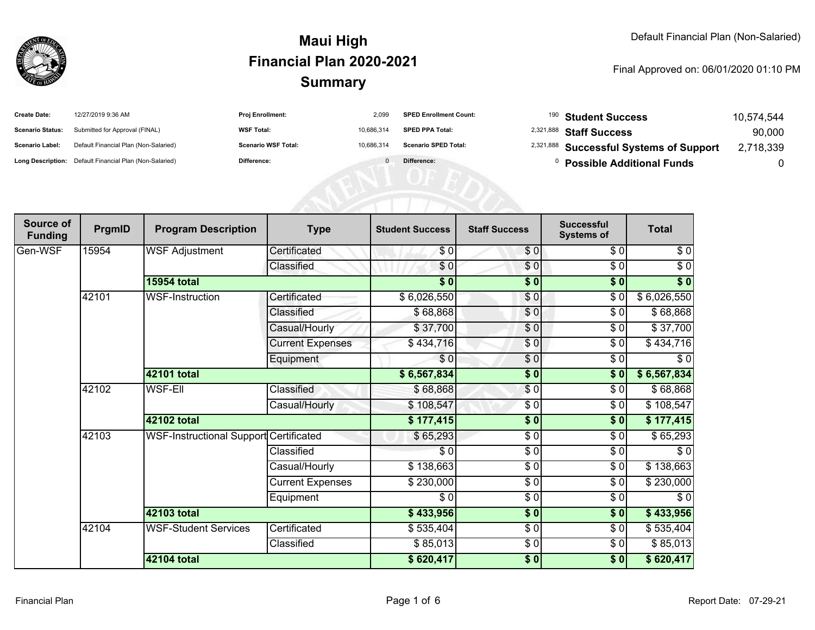

| <b>Create Date:</b>     | 12/27/2019 9:36 AM                                      | <b>Proj Enrollment:</b>    | 2.099      | <b>SPED Enrollment Count:</b> | $^{190}$ Student Success                           | 10,574,544 |
|-------------------------|---------------------------------------------------------|----------------------------|------------|-------------------------------|----------------------------------------------------|------------|
| <b>Scenario Status:</b> | Submitted for Approval (FINAL)                          | <b>WSF Total:</b>          | 10.686.314 | <b>SPED PPA Total:</b>        | <sup>2,321,888</sup> Staff Success                 | 90,000     |
| Scenario Label:         | Default Financial Plan (Non-Salaried)                   | <b>Scenario WSF Total:</b> | 10.686.314 | <b>Scenario SPED Total:</b>   | <sup>2,321,888</sup> Successful Systems of Support | 2,718,339  |
|                         | Long Description: Default Financial Plan (Non-Salaried) | Difference:                |            | Difference:                   | <b>Possible Additional Funds</b>                   | 0          |

| Source of<br><b>Funding</b> | PrgmID | <b>Program Description</b>             | <b>Type</b>             | <b>Student Success</b> | <b>Staff Success</b> | <b>Successful</b><br><b>Systems of</b> | <b>Total</b> |
|-----------------------------|--------|----------------------------------------|-------------------------|------------------------|----------------------|----------------------------------------|--------------|
| Gen-WSF                     | 15954  | <b>WSF Adjustment</b>                  | Certificated            | \$0                    | \$0                  | \$0                                    | \$0          |
|                             |        |                                        | Classified              | \$0                    | $\frac{1}{\sqrt{2}}$ | $\sqrt{6}$                             | $\sqrt{6}$   |
|                             |        | <b>15954 total</b>                     |                         | $\sqrt{5}$             | \$0                  | $\frac{1}{2}$                          | \$0          |
|                             | 42101  | <b>WSF-Instruction</b>                 | Certificated            | \$6,026,550            | \$0                  | $\frac{1}{\sqrt{2}}$                   | \$6,026,550  |
|                             |        |                                        | Classified              | \$68,868               | \$0                  | \$0                                    | \$68,868     |
|                             |        |                                        | Casual/Hourly           | \$37,700               | \$0                  | \$0                                    | \$37,700     |
|                             |        |                                        | <b>Current Expenses</b> | \$434,716              | \$0                  | \$0                                    | \$434,716    |
|                             |        |                                        | Equipment               | \$0                    | $\frac{6}{6}$        | $\frac{1}{\sqrt{2}}$                   | $\sqrt{6}$   |
|                             |        | 42101 total                            |                         | \$6,567,834            | $\sqrt{6}$           | $\frac{1}{2}$                          | \$6,567,834  |
|                             | 42102  | <b>WSF-Ell</b>                         | Classified              | \$68,868               | $\frac{1}{\sqrt{2}}$ | \$0                                    | \$68,868     |
|                             |        |                                        | Casual/Hourly           | \$108,547              | \$0                  | \$0                                    | \$108,547    |
|                             |        | 42102 total                            |                         | \$177,415              | $\frac{1}{2}$        | $\overline{\$0}$                       | \$177,415    |
|                             | 42103  | WSF-Instructional Support Certificated |                         | \$65,293               | $\frac{3}{6}$        | \$0                                    | \$65,293     |
|                             |        |                                        | Classified              | \$0                    | $\frac{1}{\epsilon}$ | \$0                                    | \$0          |
|                             |        |                                        | Casual/Hourly           | \$138,663              | \$0                  | \$0                                    | \$138,663    |
|                             |        |                                        | <b>Current Expenses</b> | \$230,000              | $\frac{3}{6}$        | \$0                                    | \$230,000    |
|                             |        |                                        | Equipment               | \$0                    | $\sqrt{6}$           | $\frac{1}{\sqrt{2}}$                   | $\sqrt{6}$   |
|                             |        | 42103 total                            |                         | \$433,956              | $\frac{1}{2}$        | \$0                                    | \$433,956    |
|                             | 42104  | <b>WSF-Student Services</b>            | Certificated            | \$535,404              | \$0                  | \$0                                    | \$535,404    |
|                             |        |                                        | Classified              | \$85,013               | $\sqrt{6}$           | \$0                                    | \$85,013     |
|                             |        | 42104 total                            |                         | \$620,417              | \$0                  | \$0                                    | \$620,417    |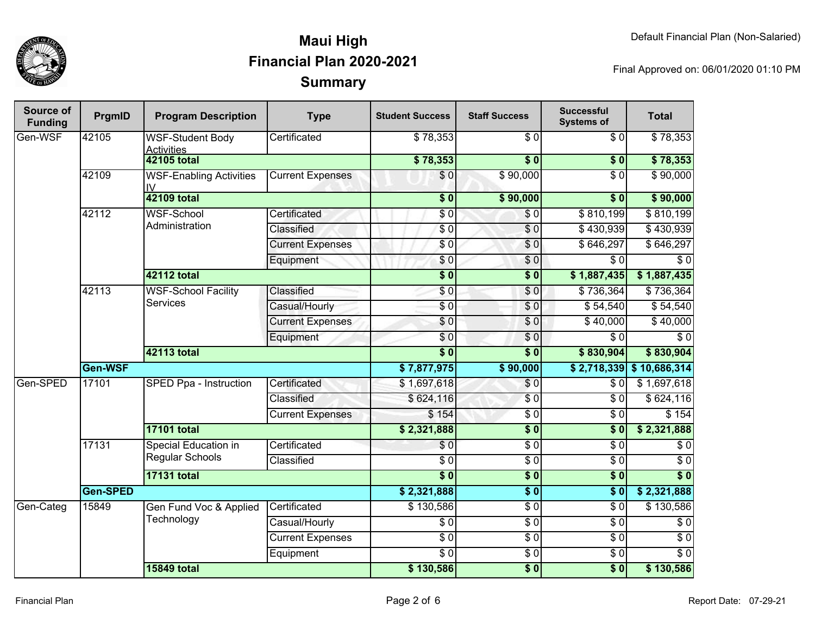

| Source of<br><b>Funding</b> | PrgmID          | <b>Program Description</b>                       | <b>Type</b>             | <b>Student Success</b> | <b>Staff Success</b> | <b>Successful</b><br><b>Systems of</b> | <b>Total</b>               |
|-----------------------------|-----------------|--------------------------------------------------|-------------------------|------------------------|----------------------|----------------------------------------|----------------------------|
| Gen-WSF                     | 42105           | <b>WSF-Student Body</b><br><b>Activities</b>     | Certificated            | \$78,353               | \$0                  | \$0                                    | \$78,353                   |
|                             |                 | <b>42105 total</b>                               |                         | \$78,353               | $\frac{1}{2}$        | \$0                                    | \$78,353                   |
|                             | 42109           | <b>WSF-Enabling Activities</b><br>$\overline{N}$ | <b>Current Expenses</b> | $\overline{\$}0$       | \$90,000             | $\overline{\$0}$                       | \$90,000                   |
|                             |                 | <b>42109 total</b>                               |                         | \$0                    | \$90,000             | $\overline{\bullet}$                   | \$90,000                   |
|                             | 42112           | <b>WSF-School</b>                                | Certificated            | \$0                    | $\sqrt{6}$           | \$810,199                              | \$810,199                  |
|                             |                 | Administration                                   | Classified              | \$0                    | $\sqrt{6}$           | \$430,939                              | \$430,939                  |
|                             |                 |                                                  | <b>Current Expenses</b> | $\frac{6}{3}$          | \$0                  | \$646,297                              | \$646,297                  |
|                             |                 |                                                  | Equipment               | \$0                    | \$0                  | $\sqrt{6}$                             | $\sqrt{6}$                 |
|                             |                 | <b>42112 total</b>                               |                         | \$0                    | $\overline{\$0}$     | \$1,887,435                            | \$1,887,435                |
|                             | 42113           | <b>WSF-School Facility</b><br><b>Services</b>    | Classified              | \$0                    | \$0                  | \$736,364                              | \$736,364                  |
|                             |                 |                                                  | Casual/Hourly           | \$0                    | \$0                  | \$54,540                               | \$54,540                   |
|                             |                 |                                                  | <b>Current Expenses</b> | $\sqrt{6}$             | \$0                  | \$40,000                               | \$40,000                   |
|                             |                 |                                                  | Equipment               | \$0                    | \$0                  | $\sqrt{6}$                             | $\sqrt{6}$                 |
|                             |                 | <b>42113 total</b>                               |                         | $\overline{\$0}$       | $\sqrt{6}$           | \$830,904                              | \$830,904                  |
|                             | Gen-WSF         |                                                  |                         | \$7,877,975            | \$90,000             |                                        | $$2,718,339$ $$10,686,314$ |
| Gen-SPED                    | 17101           | SPED Ppa - Instruction                           | Certificated            | \$1,697,618            | \$0                  | \$0                                    | \$1,697,618                |
|                             |                 |                                                  | Classified              | \$624,116              | $\overline{\$0}$     | $\sqrt{6}$                             | \$624,116                  |
|                             |                 |                                                  | <b>Current Expenses</b> | \$154                  | \$0                  | \$0                                    | \$154                      |
|                             |                 | <b>17101 total</b>                               |                         | \$2,321,888            | \$0                  | $\sqrt{6}$                             | \$2,321,888                |
|                             | 17131           | <b>Special Education in</b>                      | Certificated            | \$0                    | $\overline{S}0$      | $\sqrt{6}$                             | $\sqrt{6}$                 |
|                             |                 | <b>Regular Schools</b>                           | Classified              | $\overline{\$0}$       | $\sqrt{6}$           | $\sqrt{6}$                             | $\sqrt{6}$                 |
|                             |                 | <b>17131 total</b>                               |                         | $\overline{\$0}$       | $\overline{\$0}$     | \$0                                    | $\overline{\$0}$           |
|                             | <b>Gen-SPED</b> |                                                  |                         | \$2,321,888            | \$0                  | $\sqrt{6}$                             | \$2,321,888                |
| Gen-Categ                   | 15849           | Gen Fund Voc & Applied                           | Certificated            | \$130,586              | $\overline{S}0$      | $\overline{\$0}$                       | \$130,586                  |
|                             |                 | Technology                                       | Casual/Hourly           | \$0                    | $\overline{S}0$      | \$0                                    | $\sqrt{6}$                 |
|                             |                 |                                                  | <b>Current Expenses</b> | $\overline{S}0$        | \$0                  | $\sqrt{6}$                             | $\sqrt{6}$                 |
|                             |                 |                                                  | Equipment               | $\sqrt{6}$             | $\overline{S}0$      | $\sqrt{6}$                             | $\overline{\$0}$           |
|                             |                 | <b>15849 total</b>                               |                         | \$130,586              | $\overline{\$0}$     | $\sqrt{6}$                             | \$130,586                  |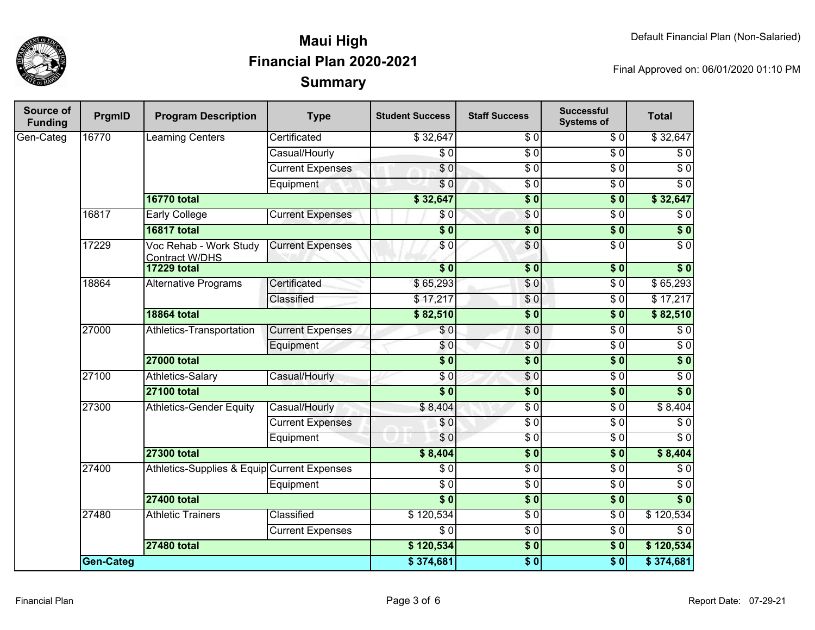

| Source of<br><b>Funding</b> | PrgmID           | <b>Program Description</b>                  | <b>Type</b>             | <b>Student Success</b>   | <b>Staff Success</b> | <b>Successful</b><br><b>Systems of</b> | <b>Total</b>     |
|-----------------------------|------------------|---------------------------------------------|-------------------------|--------------------------|----------------------|----------------------------------------|------------------|
| Gen-Categ                   | 16770            | <b>Learning Centers</b>                     | Certificated            | \$32,647                 | \$0                  | \$0                                    | \$32,647         |
|                             |                  |                                             | Casual/Hourly           | $\sqrt{6}$               | $\overline{\$0}$     | $\sqrt{6}$                             | $\sqrt{6}$       |
|                             |                  |                                             | <b>Current Expenses</b> | $\overline{\$0}$         | $\overline{50}$      | $\overline{\$0}$                       | $\overline{\$0}$ |
|                             |                  |                                             | Equipment               | \$0                      | $\overline{\$0}$     | $\sqrt{6}$                             | $\overline{\$0}$ |
|                             |                  | <b>16770 total</b>                          |                         | \$32,647                 | $\overline{\$0}$     | $\overline{\$}0$                       | \$32,647         |
|                             | 16817            | <b>Early College</b>                        | <b>Current Expenses</b> | \$0                      | $\sqrt{6}$           | $\sqrt{6}$                             | $\overline{\$0}$ |
|                             |                  | <b>16817 total</b>                          |                         | $\overline{\$0}$         | $\overline{\$0}$     | $\overline{\$0}$                       | $\overline{\$0}$ |
|                             | 17229            | Voc Rehab - Work Study<br>Contract W/DHS    | <b>Current Expenses</b> | \$0                      | $\overline{S}0$      | $\overline{\$0}$                       | \$0              |
|                             |                  | <b>17229 total</b>                          |                         | $\overline{\$0}$         | $\overline{\$0}$     | $\overline{\$0}$                       | $\overline{\$0}$ |
|                             | 18864            | <b>Alternative Programs</b>                 | Certificated            | \$65,293                 | $\sqrt{6}$           | $\overline{$}0$                        | \$65,293         |
|                             |                  |                                             | Classified              | \$17,217                 | \$0                  | $\overline{\$0}$                       | \$17,217         |
|                             |                  | <b>18864 total</b>                          |                         | \$82,510                 | $\overline{\$0}$     | $\overline{\$0}$                       | \$82,510         |
|                             | 27000            | Athletics-Transportation                    | <b>Current Expenses</b> | \$0                      | $\overline{\$0}$     | $\overline{\$0}$                       | $\overline{\$0}$ |
|                             |                  |                                             | Equipment               | \$0                      | $\sqrt{0}$           | $\overline{\$0}$                       | $\overline{\$0}$ |
|                             |                  | <b>27000 total</b>                          |                         | $\overline{\textbf{50}}$ | $\overline{\$0}$     | $\overline{\$0}$                       | $\sqrt{ }$       |
|                             | 27100            | Athletics-Salary                            | Casual/Hourly           | \$0                      | $\overline{\$0}$     | $\overline{\$0}$                       | $\overline{\$0}$ |
|                             |                  | <b>27100 total</b>                          |                         | $\overline{\$0}$         | $\overline{\$0}$     | $\sqrt{6}$                             | $\overline{\$0}$ |
|                             | 27300            | <b>Athletics-Gender Equity</b>              | Casual/Hourly           | \$8,404                  | $\overline{\$0}$     | $\overline{\$0}$                       | \$8,404          |
|                             |                  |                                             | <b>Current Expenses</b> | \$0                      | $\overline{\$0}$     | $\overline{\$0}$                       | $\overline{\$0}$ |
|                             |                  |                                             | Equipment               | \$0                      | $\overline{\$0}$     | $\overline{\$0}$                       | $\overline{\$0}$ |
|                             |                  | <b>27300 total</b>                          |                         | \$8,404                  | $\overline{\$0}$     | $\overline{\$0}$                       | \$8,404          |
|                             | 27400            | Athletics-Supplies & Equip Current Expenses |                         | $\overline{\$0}$         | $\overline{\$0}$     | $\overline{\$0}$                       | $\overline{\$0}$ |
|                             |                  |                                             | Equipment               | $\overline{\$0}$         | $\overline{\$0}$     | $\overline{\$0}$                       | $\overline{\$0}$ |
|                             |                  | <b>27400 total</b>                          |                         | $\overline{\$0}$         | $\overline{\$0}$     | $\overline{\$}0$                       | $\sqrt{ }$       |
|                             | 27480            | <b>Athletic Trainers</b>                    | Classified              | \$120,534                | $\overline{\$0}$     | $\overline{\$0}$                       | \$120,534        |
|                             |                  |                                             | <b>Current Expenses</b> | $\overline{\$0}$         | $\overline{\$0}$     | $\overline{\$0}$                       | $\overline{\$0}$ |
|                             |                  | <b>27480 total</b>                          |                         | \$120,534                | \$0                  | $\overline{\$0}$                       | \$120,534        |
|                             | <b>Gen-Categ</b> |                                             |                         | \$374,681                | $\overline{\$0}$     | $\overline{\$0}$                       | \$374,681        |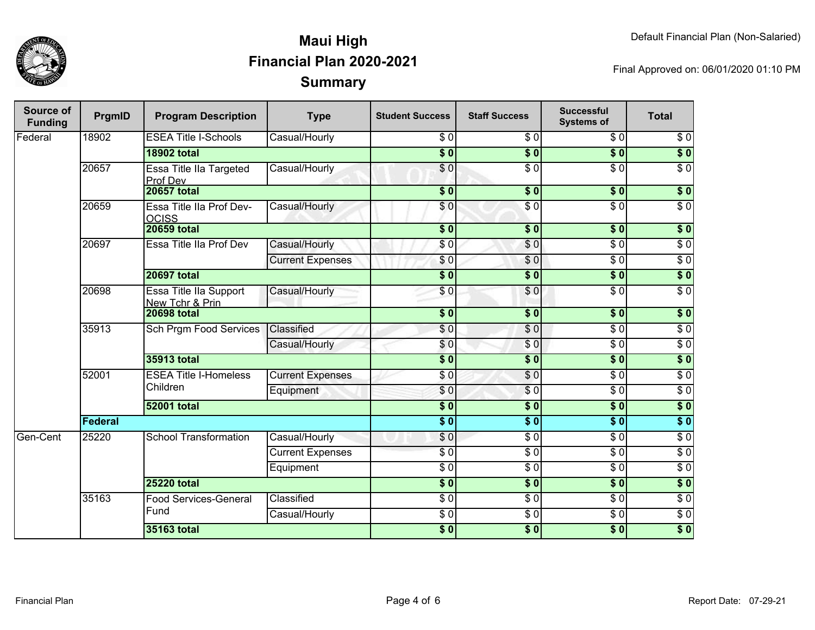

| <b>Source of</b><br><b>Funding</b> | PrgmID                                                | <b>Program Description</b>                | <b>Type</b>             | <b>Student Success</b>    | <b>Staff Success</b> | <b>Successful</b><br><b>Systems of</b> | <b>Total</b>     |
|------------------------------------|-------------------------------------------------------|-------------------------------------------|-------------------------|---------------------------|----------------------|----------------------------------------|------------------|
| Federal                            | 18902                                                 | <b>ESEA Title I-Schools</b>               | Casual/Hourly           | \$0                       | \$0                  | \$0                                    | $\overline{\$0}$ |
|                                    |                                                       | <b>18902 total</b>                        |                         | $\overline{\$0}$          | $\overline{\$0}$     | $\overline{\$0}$                       | $\overline{\$0}$ |
|                                    | 20657                                                 | Essa Title IIa Targeted<br>Prof Dev       | Casual/Hourly           | $\overline{\$0}$          | $\overline{\$0}$     | $\overline{\$0}$                       | $\overline{\$0}$ |
|                                    |                                                       | <b>20657 total</b>                        |                         | $\overline{\textbf{S}^0}$ | $\overline{\$0}$     | s <sub>0</sub>                         | $\overline{\$0}$ |
|                                    | 20659                                                 | Essa Title IIa Prof Dev-<br><b>OCISS</b>  | Casual/Hourly           | $\overline{S}0$           | $\overline{\$0}$     | $\overline{\$0}$                       | $\overline{30}$  |
|                                    |                                                       | <b>20659 total</b>                        |                         | $\overline{\$0}$          | $\overline{\$0}$     | $\overline{\$0}$                       | $\sqrt{6}$       |
|                                    | 20697                                                 | Essa Title IIa Prof Dev                   | Casual/Hourly           | \$0                       | \$0                  | $\overline{60}$                        | $\sqrt{6}$       |
|                                    |                                                       |                                           | <b>Current Expenses</b> | \$0                       | \$0                  | $\overline{\$0}$                       | $\overline{\$0}$ |
|                                    |                                                       | <b>20697 total</b>                        |                         | $\overline{\$0}$          | $\overline{\bullet}$ | $\overline{\$0}$                       | $\overline{\$0}$ |
|                                    | 20698                                                 | Essa Title IIa Support<br>New Tchr & Prin | Casual/Hourly           | \$0                       | \$0                  | $\overline{\$0}$                       | $\overline{30}$  |
|                                    |                                                       | <b>20698 total</b>                        |                         | \$0                       | $\overline{\$0}$     | $\overline{\$0}$                       | $\overline{\$0}$ |
|                                    | 35913                                                 | Sch Prgm Food Services                    | Classified              | \$0                       | $\overline{60}$      | $\overline{\$0}$                       | $\overline{30}$  |
|                                    |                                                       |                                           | Casual/Hourly           | \$0                       | $\sqrt{0}$           | $\overline{\$0}$                       | $\sqrt{6}$       |
|                                    |                                                       | <b>35913 total</b>                        |                         | $\overline{\$0}$          | $\overline{\$0}$     | $\overline{\$0}$                       | $\overline{\$0}$ |
|                                    | 52001                                                 | <b>ESEA Title I-Homeless</b><br>Children  | <b>Current Expenses</b> | $\sqrt{6}$                | $\sqrt{6}$           | $\overline{\$0}$                       | $\overline{\$0}$ |
|                                    |                                                       |                                           | Equipment               | \$0                       | $\sqrt{3}0$          | $\overline{\$0}$                       | $\overline{\$0}$ |
|                                    |                                                       | <b>52001 total</b>                        |                         | $\overline{\$0}$          | $\overline{\$0}$     | $\overline{\$0}$                       | $\overline{\$0}$ |
|                                    | <b>Federal</b>                                        |                                           |                         |                           | $\overline{\$0}$     | $\overline{\$0}$                       | $\overline{\$0}$ |
| Gen-Cent                           | 25220                                                 | <b>School Transformation</b>              | Casual/Hourly           | \$0                       | $\sqrt{6}$           | $\overline{30}$                        | $\overline{30}$  |
|                                    |                                                       |                                           | <b>Current Expenses</b> | $\overline{\$0}$          | $\overline{\$0}$     | $\overline{30}$                        | $\overline{30}$  |
|                                    |                                                       |                                           | Equipment               | $\sqrt{6}$                | $\overline{\$0}$     | $\overline{30}$                        | $\overline{30}$  |
|                                    |                                                       | <b>25220 total</b>                        |                         | $\overline{\$0}$          | $\overline{\$0}$     | $\overline{\$0}$                       | $\overline{\$0}$ |
|                                    | 35163<br>Food Services-General<br>Fund<br>35163 total |                                           | Classified              | $\frac{3}{6}$             | $\overline{\$0}$     | $\sqrt{6}$                             | $\overline{\$0}$ |
|                                    |                                                       |                                           | Casual/Hourly           | $\overline{30}$           | $\overline{\$0}$     | $\overline{30}$                        | $\overline{30}$  |
|                                    |                                                       |                                           |                         | $\overline{\$0}$          | $\overline{\$0}$     | $\overline{\$0}$                       | $\overline{\$0}$ |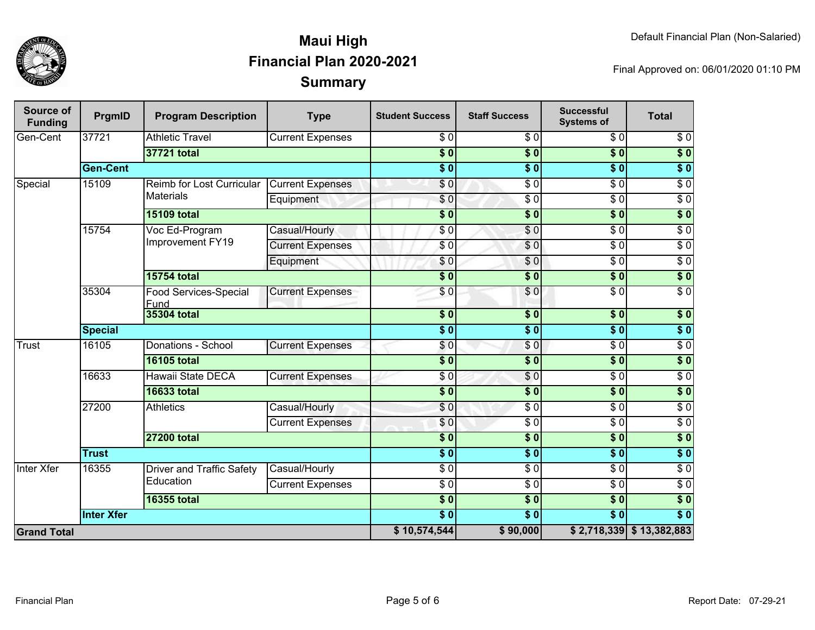

| Source of<br><b>Funding</b> | PrgmID            | <b>Program Description</b>       | <b>Type</b>             | <b>Student Success</b>    | <b>Staff Success</b>   | <b>Successful</b><br><b>Systems of</b> | <b>Total</b>               |                  |
|-----------------------------|-------------------|----------------------------------|-------------------------|---------------------------|------------------------|----------------------------------------|----------------------------|------------------|
| Gen-Cent                    | 37721             | <b>Athletic Travel</b>           | <b>Current Expenses</b> | \$0                       | $\sqrt{6}$             | $\overline{\$0}$                       | $\overline{\$0}$           |                  |
|                             |                   | 37721 total                      |                         | $\overline{\$0}$          | $\overline{\$0}$       | $\overline{\$0}$                       | $\overline{\$0}$           |                  |
|                             | <b>Gen-Cent</b>   |                                  |                         | $\overline{\$0}$          | $\overline{\$0}$       | $\overline{\$0}$                       | $\overline{\$0}$           |                  |
| Special                     | 15109             | Reimb for Lost Curricular        | <b>Current Expenses</b> | $\overline{\$}0$          | $\overline{S}0$        | $\overline{\$0}$                       | $\overline{\$0}$           |                  |
|                             |                   | <b>Materials</b>                 | Equipment               | $\overline{\$0}$          | $\overline{\$0}$       | $\overline{\$0}$                       | $\overline{30}$            |                  |
|                             |                   | <b>15109 total</b>               |                         | $\overline{\$0}$          | $\overline{\$0}$       | $\overline{\$0}$                       | $\overline{\$0}$           |                  |
|                             | 15754             | Voc Ed-Program                   | Casual/Hourly           | $\sqrt{6}$                | \$0                    | $\overline{\$0}$                       | $\overline{30}$            |                  |
|                             |                   | Improvement FY19                 | <b>Current Expenses</b> | $\frac{6}{3}$             | \$0                    | $\overline{50}$                        | $\overline{30}$            |                  |
|                             |                   |                                  | Equipment               | \$0                       | \$0                    | $\overline{30}$                        | $\sqrt{6}$                 |                  |
|                             |                   | <b>15754 total</b>               |                         | $\overline{\$0}$          | $\overline{\$0}$       | $\overline{\$0}$                       | $\overline{\$0}$           |                  |
|                             | 35304             | Food Services-Special<br>Fund    | <b>Current Expenses</b> | $\sqrt{0}$                | \$0                    | $\overline{\$0}$                       | $\overline{\$0}$           |                  |
|                             |                   | <b>35304 total</b>               |                         | $\overline{\$0}$          | \$0                    | $\overline{\$0}$                       | $\sqrt{ }$                 |                  |
|                             | <b>Special</b>    |                                  |                         | $\overline{\phantom{0}5}$ | $\overline{\$0}$       | $\overline{\$0}$                       | $\overline{\$0}$           |                  |
| Trust                       | 16105             | Donations - School               | <b>Current Expenses</b> | $\sqrt{6}$                | $\sqrt{0}$             | $\overline{\$0}$                       | $\overline{\$0}$           |                  |
|                             |                   | <b>16105 total</b>               |                         | $\overline{\$0}$          | \$0                    | $\overline{\$0}$                       | $\overline{\$}0$           |                  |
|                             | 16633             | Hawaii State DECA                | <b>Current Expenses</b> | $\overline{S}0$           | $\overline{\$0}$       | $\overline{\$0}$                       | $\overline{\$0}$           |                  |
|                             |                   | <b>16633 total</b>               |                         | $\overline{\$0}$          | $\overline{\$0}$       | $\overline{\$0}$                       | $\overline{\$0}$           |                  |
|                             | 27200             |                                  | <b>Athletics</b>        | Casual/Hourly             | \$0                    | $\overline{\$0}$                       | $\overline{\$0}$           | $\overline{\$0}$ |
|                             |                   |                                  | <b>Current Expenses</b> | $\frac{6}{6}$             | $\overline{\$0}$       | $\overline{\$0}$                       | $\overline{\$0}$           |                  |
|                             |                   | <b>27200 total</b>               |                         | $\overline{\$0}$          | $\overline{\$0}$       | $\overline{\$0}$                       | $\overline{\$0}$           |                  |
|                             | <b>Trust</b>      |                                  |                         | $\overline{\phantom{0}3}$ | $\overline{\bullet}$ 0 | $\overline{\$0}$                       | $\sqrt{6}$                 |                  |
| <b>Inter Xfer</b>           | 16355             | <b>Driver and Traffic Safety</b> | Casual/Hourly           | $\frac{6}{6}$             | $\overline{\$0}$       | $\overline{\$0}$                       | $\overline{30}$            |                  |
|                             |                   | Education                        | <b>Current Expenses</b> | $\overline{\$0}$          | $\overline{\$0}$       | $\overline{\$0}$                       | $\overline{\$0}$           |                  |
|                             |                   | <b>16355 total</b>               |                         | $\overline{\$0}$          | $\overline{\$0}$       | $\overline{\$0}$                       | $\sqrt{ }$                 |                  |
|                             | <b>Inter Xfer</b> |                                  |                         | $\overline{\$0}$          | $\overline{\$0}$       | $\overline{\$0}$                       | $\overline{\$0}$           |                  |
| <b>Grand Total</b>          |                   |                                  |                         |                           | \$90,000               |                                        | $$2,718,339$ $$13,382,883$ |                  |